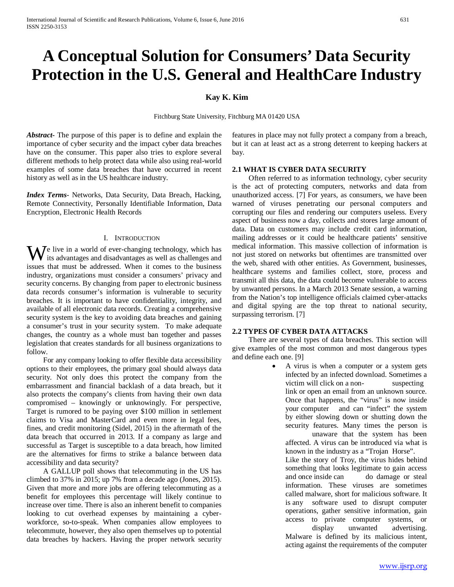# **A Conceptual Solution for Consumers' Data Security Protection in the U.S. General and HealthCare Industry**

## **Kay K. Kim**

Fitchburg State University, Fitchburg MA 01420 USA

*Abstract***-** The purpose of this paper is to define and explain the importance of cyber security and the impact cyber data breaches have on the consumer. This paper also tries to explore several different methods to help protect data while also using real-world examples of some data breaches that have occurred in recent history as well as in the US healthcare industry.

*Index Terms*- Networks, Data Security, Data Breach, Hacking, Remote Connectivity, Personally Identifiable Information, Data Encryption, Electronic Health Records

#### I. INTRODUCTION

 $\mathbf{W}$  is advantages and disadvantages as well as challenges and disadvantages are well as challenges and its advantages and disadvantages as well as challenges and issues that must be addressed. When it comes to the business industry, organizations must consider a consumers' privacy and security concerns. By changing from paper to electronic business data records consumer's information is vulnerable to security breaches. It is important to have confidentiality, integrity, and available of all electronic data records. Creating a comprehensive security system is the key to avoiding data breaches and gaining a consumer's trust in your security system. To make adequate changes, the country as a whole must ban together and passes legislation that creates standards for all business organizations to follow.

 For any company looking to offer flexible data accessibility options to their employees, the primary goal should always data security. Not only does this protect the company from the embarrassment and financial backlash of a data breach, but it also protects the company's clients from having their own data compromised – knowingly or unknowingly. For perspective, Target is rumored to be paying over \$100 million in settlement claims to Visa and MasterCard and even more in legal fees, fines, and credit monitoring (Sidel, 2015) in the aftermath of the data breach that occurred in 2013. If a company as large and successful as Target is susceptible to a data breach, how limited are the alternatives for firms to strike a balance between data accessibility and data security?

 A GALLUP poll shows that telecommuting in the US has climbed to 37% in 2015; up 7% from a decade ago (Jones, 2015). Given that more and more jobs are offering telecommuting as a benefit for employees this percentage will likely continue to increase over time. There is also an inherent benefit to companies looking to cut overhead expenses by maintaining a cyberworkforce, so-to-speak. When companies allow employees to telecommute, however, they also open themselves up to potential data breaches by hackers. Having the proper network security features in place may not fully protect a company from a breach, but it can at least act as a strong deterrent to keeping hackers at bay.

#### **2.1 WHAT IS CYBER DATA SECURITY**

 Often referred to as information technology, cyber security is the act of protecting computers, networks and data from unauthorized access. [7] For years, as consumers, we have been warned of viruses penetrating our personal computers and corrupting our files and rendering our computers useless. Every aspect of business now a day, collects and stores large amount of data. Data on customers may include credit card information, mailing addresses or it could be healthcare patients' sensitive medical information. This massive collection of information is not just stored on networks but oftentimes are transmitted over the web, shared with other entities. As Government, businesses, healthcare systems and families collect, store, process and transmit all this data, the data could become vulnerable to access by unwanted persons. In a March 2013 Senate session, a warning from the Nation's top intelligence officials claimed cyber-attacks and digital spying are the top threat to national security, surpassing terrorism. [7]

#### **2.2 TYPES OF CYBER DATA ATTACKS**

 There are several types of data breaches. This section will give examples of the most common and most dangerous types and define each one. [9]

> • A virus is when a computer or a system gets infected by an infected download. Sometimes a victim will click on a non-<br>suspecting link or open an email from an unknown source. Once that happens, the "virus" is now inside your computer and can "infect" the system by either slowing down or shutting down the security features. Many times the person is unaware that the system has been affected. A virus can be introduced via what is known in the industry as a "Trojan Horse". Like the story of Troy, the virus hides behind something that looks legitimate to gain access and once inside can do damage or steal information. These viruses are sometimes called malware, short for malicious software. It is any software used to disrupt computer operations, gather sensitive information, gain access to private computer systems, or display unwanted advertising. Malware is defined by its malicious intent, acting against the requirements of the computer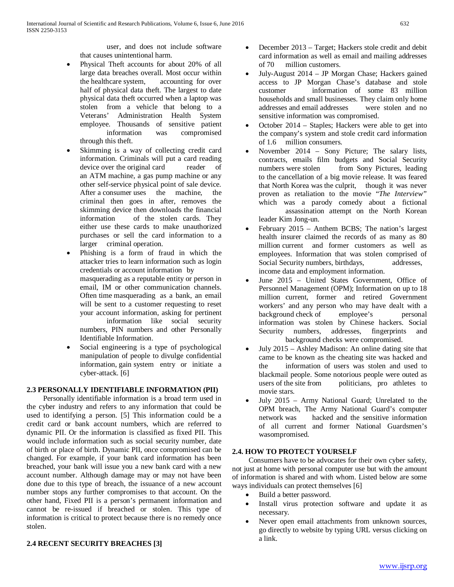user, and does not include software that causes unintentional harm.

- Physical Theft accounts for about 20% of all large data breaches overall. Most occur within the healthcare system, accounting for over half of physical data theft. The largest to date physical data theft occurred when a laptop was stolen from a vehicle that belong to a Veterans' Administration Health System employee. Thousands of sensitive patient information was compromised through this theft.
- Skimming is a way of collecting credit card information. Criminals will put a card reading<br>device over the original card reader of device over the original card an ATM machine, a gas pump machine or any other self-service physical point of sale device. After a consumer uses the machine, the criminal then goes in after, removes the skimming device then downloads the financial information of the stolen cards. They either use these cards to make unauthorized purchases or sell the card information to a larger criminal operation.
- Phishing is a form of fraud in which the attacker tries to learn information such as login credentials or account information by masquerading as a reputable entity or person in email, IM or other communication channels. Often time masquerading as a bank, an email will be sent to a customer requesting to reset your account information, asking for pertinent information like social security numbers, PIN numbers and other Personally
	- Identifiable Information.
- Social engineering is a type of psychological manipulation of people to divulge confidential information, gain system entry or initiate a cyber-attack. [6]

# **2.3 PERSONALLY IDENTIFIABLE INFORMATION (PII)**

 Personally identifiable information is a broad term used in the cyber industry and refers to any information that could be used to identifying a person. [5] This information could be a credit card or bank account numbers, which are referred to dynamic PII. Or the information is classified as fixed PII. This would include information such as social security number, date of birth or place of birth. Dynamic PII, once compromised can be changed. For example, if your bank card information has been breached, your bank will issue you a new bank card with a new account number. Although damage may or may not have been done due to this type of breach, the issuance of a new account number stops any further compromises to that account. On the other hand, Fixed PII is a person's permanent information and cannot be re-issued if breached or stolen. This type of information is critical to protect because there is no remedy once stolen.

# **2.4 RECENT SECURITY BREACHES [3]**

- December 2013 Target; Hackers stole credit and debit card information as well as email and mailing addresses of 70 million customers.
- July-August 2014 JP Morgan Chase; Hackers gained access to JP Morgan Chase's database and stole customer information of some 83 million households and small businesses. They claim only home addresses and email addresses were stolen and no sensitive information was compromised.
- October 2014 Staples; Hackers were able to get into the company's system and stole credit card information of 1.6 million consumers.
- November 2014 Sony Picture; The salary lists, contracts, emails film budgets and Social Security numbers were stolen from Sony Pictures, leading to the cancellation of a big movie release. It was feared that North Korea was the culprit, though it was never proven as retaliation to the movie "*The Interview"* which was a parody comedy about a fictional assassination attempt on the North Korean leader Kim Jong-un.
- February 2015 Anthem BCBS; The nation's largest health insurer claimed the records of as many as 80 million current and former customers as well as employees. Information that was stolen comprised of Social Security numbers, birthdays, addresses, income data and employment information.
- June 2015 United States Government, Office of Personnel Management (OPM); Information on up to 18 million current, former and retired Government workers' and any person who may have dealt with a background check of employee's personal information was stolen by Chinese hackers. Social Security numbers, addresses, fingerprints and background checks were compromised.
- July 2015 Ashley Madison: An online dating site that came to be known as the cheating site was hacked and the information of users was stolen and used to blackmail people. Some notorious people were outed as users of the site from politicians, pro athletes to politicians, pro athletes to movie stars.
- July 2015 Army National Guard; Unrelated to the OPM breach, The Army National Guard's computer network was hacked and the sensitive information of all current and former National Guardsmen's wasompromised.

# **2.4. HOW TO PROTECT YOURSELF**

 Consumers have to be advocates for their own cyber safety, not just at home with personal computer use but with the amount of information is shared and with whom. Listed below are some ways individuals can protect themselves [6]

- Build a better password.
- Install virus protection software and update it as necessary.
- Never open email attachments from unknown sources, go directly to website by typing URL versus clicking on a link.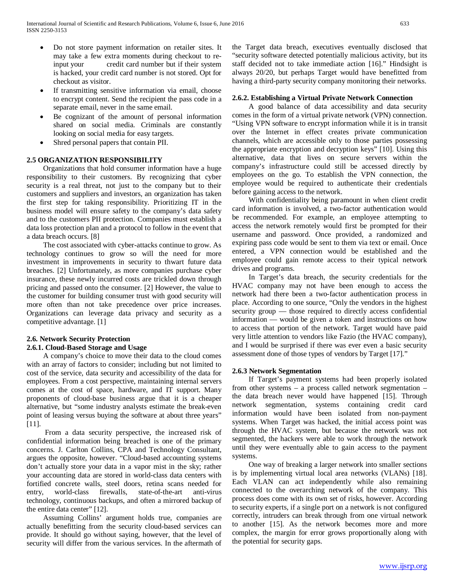- Do not store payment information on retailer sites. It may take a few extra moments during checkout to reinput your credit card number but if their system is hacked, your credit card number is not stored. Opt for checkout as visitor.
- If transmitting sensitive information via email, choose to encrypt content. Send the recipient the pass code in a separate email, never in the same email.
- Be cognizant of the amount of personal information shared on social media. Criminals are constantly looking on social media for easy targets.
- Shred personal papers that contain PII.

## **2.5 ORGANIZATION RESPONSIBILITY**

 Organizations that hold consumer information have a huge responsibility to their customers. By recognizing that cyber security is a real threat, not just to the company but to their customers and suppliers and investors, an organization has taken the first step for taking responsibility. Prioritizing IT in the business model will ensure safety to the company's data safety and to the customers PII protection. Companies must establish a data loss protection plan and a protocol to follow in the event that a data breach occurs. [8]

 The cost associated with cyber-attacks continue to grow. As technology continues to grow so will the need for more investment in improvements in security to thwart future data breaches. [2] Unfortunately, as more companies purchase cyber insurance, these newly incurred costs are trickled down through pricing and passed onto the consumer. [2] However, the value to the customer for building consumer trust with good security will more often than not take precedence over price increases. Organizations can leverage data privacy and security as a competitive advantage. [1]

## **2.6. Network Security Protection 2.6.1. Cloud-Based Storage and Usage**

 A company's choice to move their data to the cloud comes with an array of factors to consider; including but not limited to cost of the service, data security and accessibility of the data for employees. From a cost perspective, maintaining internal servers comes at the cost of space, hardware, and IT support. Many proponents of cloud-base business argue that it is a cheaper alternative, but "some industry analysts estimate the break-even point of leasing versus buying the software at about three years" [11].

 From a data security perspective, the increased risk of confidential information being breached is one of the primary concerns. J. Carlton Collins, CPA and Technology Consultant, argues the opposite, however. "Cloud-based accounting systems don't actually store your data in a vapor mist in the sky; rather your accounting data are stored in world-class data centers with fortified concrete walls, steel doors, retina scans needed for entry, world-class firewalls, state-of-the-art anti-virus technology, continuous backups, and often a mirrored backup of the entire data center" [12].

 Assuming Collins' argument holds true, companies are actually benefitting from the security cloud-based services can provide. It should go without saying, however, that the level of security will differ from the various services. In the aftermath of the Target data breach, executives eventually disclosed that "security software detected potentially malicious activity, but its staff decided not to take immediate action [16]." Hindsight is always 20/20, but perhaps Target would have benefitted from having a third-party security company monitoring their networks.

#### **2.6.2. Establishing a Virtual Private Network Connection**

 A good balance of data accessibility and data security comes in the form of a virtual private network (VPN) connection. "Using VPN software to encrypt information while it is in transit over the Internet in effect creates private communication channels, which are accessible only to those parties possessing the appropriate encryption and decryption keys" [10]. Using this alternative, data that lives on secure servers within the company's infrastructure could still be accessed directly by employees on the go. To establish the VPN connection, the employee would be required to authenticate their credentials before gaining access to the network.

 With confidentiality being paramount in when client credit card information is involved, a two-factor authentication would be recommended. For example, an employee attempting to access the network remotely would first be prompted for their username and password. Once provided, a randomized and expiring pass code would be sent to them via text or email. Once entered, a VPN connection would be established and the employee could gain remote access to their typical network drives and programs.

 In Target's data breach, the security credentials for the HVAC company may not have been enough to access the network had there been a two-factor authentication process in place. According to one source, "Only the vendors in the highest security group — those required to directly access confidential information — would be given a token and instructions on how to access that portion of the network. Target would have paid very little attention to vendors like Fazio (the HVAC company), and I would be surprised if there was ever even a basic security assessment done of those types of vendors by Target [17]."

#### **2.6.3 Network Segmentation**

 If Target's payment systems had been properly isolated from other systems – a process called network segmentation – the data breach never would have happened [15]. Through network segmentation, systems containing credit card information would have been isolated from non-payment systems. When Target was hacked, the initial access point was through the HVAC system, but because the network was not segmented, the hackers were able to work through the network until they were eventually able to gain access to the payment systems.

 One way of breaking a larger network into smaller sections is by implementing virtual local area networks (VLANs) [18]. Each VLAN can act independently while also remaining connected to the overarching network of the company. This process does come with its own set of risks, however. According to security experts, if a single port on a network is not configured correctly, intruders can break through from one virtual network to another [15]. As the network becomes more and more complex, the margin for error grows proportionally along with the potential for security gaps.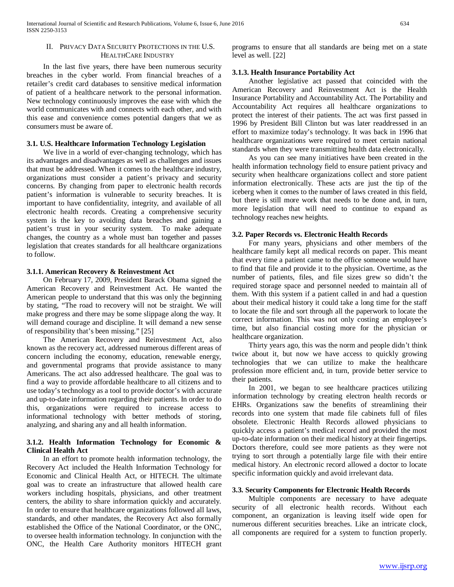#### II. PRIVACY DATA SECURITY PROTECTIONS IN THE U.S. HEALTHCARE INDUSTRY

 In the last five years, there have been numerous security breaches in the cyber world. From financial breaches of a retailer's credit card databases to sensitive medical information of patient of a healthcare network to the personal information. New technology continuously improves the ease with which the world communicates with and connects with each other, and with this ease and convenience comes potential dangers that we as consumers must be aware of.

#### **3.1. U.S. Healthcare Information Technology Legislation**

 We live in a world of ever-changing technology, which has its advantages and disadvantages as well as challenges and issues that must be addressed. When it comes to the healthcare industry, organizations must consider a patient's privacy and security concerns. By changing from paper to electronic health records patient's information is vulnerable to security breaches. It is important to have confidentiality, integrity, and available of all electronic health records. Creating a comprehensive security system is the key to avoiding data breaches and gaining a patient's trust in your security system. To make adequate changes, the country as a whole must ban together and passes legislation that creates standards for all healthcare organizations to follow.

#### **3.1.1. American Recovery & Reinvestment Act**

 On February 17, 2009, President Barack Obama signed the American Recovery and Reinvestment Act. He wanted the American people to understand that this was only the beginning by stating, "The road to recovery will not be straight. We will make progress and there may be some slippage along the way. It will demand courage and discipline. It will demand a new sense of responsibility that's been missing." [25]

 The American Recovery and Reinvestment Act, also known as the recovery act, addressed numerous different areas of concern including the economy, education, renewable energy, and governmental programs that provide assistance to many Americans. The act also addressed healthcare. The goal was to find a way to provide affordable healthcare to all citizens and to use today's technology as a tool to provide doctor's with accurate and up-to-date information regarding their patients. In order to do this, organizations were required to increase access to informational technology with better methods of storing, analyzing, and sharing any and all health information.

## **3.1.2. Health Information Technology for Economic & Clinical Health Act**

 In an effort to promote health information technology, the Recovery Act included the Health Information Technology for Economic and Clinical Health Act, or HITECH. The ultimate goal was to create an infrastructure that allowed health care workers including hospitals, physicians, and other treatment centers, the ability to share information quickly and accurately. In order to ensure that healthcare organizations followed all laws, standards, and other mandates, the Recovery Act also formally established the Office of the National Coordinator, or the ONC, to oversee health information technology. In conjunction with the ONC, the Health Care Authority monitors HITECH grant programs to ensure that all standards are being met on a state level as well. [22]

### **3.1.3. Health Insurance Portability Act**

 Another legislative act passed that coincided with the American Recovery and Reinvestment Act is the Health Insurance Portability and Accountability Act. The Portability and Accountability Act requires all healthcare organizations to protect the interest of their patients. The act was first passed in 1996 by President Bill Clinton but was later readdressed in an effort to maximize today's technology. It was back in 1996 that healthcare organizations were required to meet certain national standards when they were transmitting health data electronically.

 As you can see many initiatives have been created in the health information technology field to ensure patient privacy and security when healthcare organizations collect and store patient information electronically. These acts are just the tip of the iceberg when it comes to the number of laws created in this field, but there is still more work that needs to be done and, in turn, more legislation that will need to continue to expand as technology reaches new heights.

#### **3.2. Paper Records vs. Electronic Health Records**

 For many years, physicians and other members of the healthcare family kept all medical records on paper. This meant that every time a patient came to the office someone would have to find that file and provide it to the physician. Overtime, as the number of patients, files, and file sizes grew so didn't the required storage space and personnel needed to maintain all of them. With this system if a patient called in and had a question about their medical history it could take a long time for the staff to locate the file and sort through all the paperwork to locate the correct information. This was not only costing an employee's time, but also financial costing more for the physician or healthcare organization.

 Thirty years ago, this was the norm and people didn't think twice about it, but now we have access to quickly growing technologies that we can utilize to make the healthcare profession more efficient and, in turn, provide better service to their patients.

 In 2001, we began to see healthcare practices utilizing information technology by creating electron health records or EHRs. Organizations saw the benefits of streamlining their records into one system that made file cabinets full of files obsolete. Electronic Health Records allowed physicians to quickly access a patient's medical record and provided the most up-to-date information on their medical history at their fingertips. Doctors therefore, could see more patients as they were not trying to sort through a potentially large file with their entire medical history. An electronic record allowed a doctor to locate specific information quickly and avoid irrelevant data.

#### **3.3. Security Components for Electronic Health Records**

 Multiple components are necessary to have adequate security of all electronic health records. Without each component, an organization is leaving itself wide open for numerous different securities breaches. Like an intricate clock, all components are required for a system to function properly.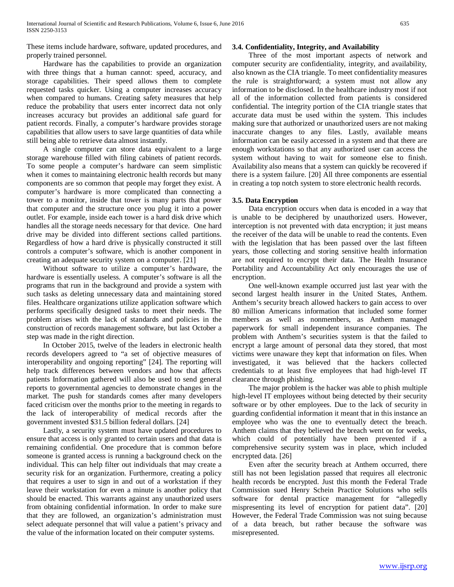These items include hardware, software, updated procedures, and properly trained personnel.

 Hardware has the capabilities to provide an organization with three things that a human cannot: speed, accuracy, and storage capabilities. Their speed allows them to complete requested tasks quicker. Using a computer increases accuracy when compared to humans. Creating safety measures that help reduce the probability that users enter incorrect data not only increases accuracy but provides an additional safe guard for patient records. Finally, a computer's hardware provides storage capabilities that allow users to save large quantities of data while still being able to retrieve data almost instantly.

 A single computer can store data equivalent to a large storage warehouse filled with filing cabinets of patient records. To some people a computer's hardware can seem simplistic when it comes to maintaining electronic health records but many components are so common that people may forget they exist. A computer's hardware is more complicated than connecting a tower to a monitor, inside that tower is many parts that power that computer and the structure once you plug it into a power outlet. For example, inside each tower is a hard disk drive which handles all the storage needs necessary for that device. One hard drive may be divided into different sections called partitions. Regardless of how a hard drive is physically constructed it still controls a computer's software, which is another component in creating an adequate security system on a computer. [21]

 Without software to utilize a computer's hardware, the hardware is essentially useless. A computer's software is all the programs that run in the background and provide a system with such tasks as deleting unnecessary data and maintaining stored files. Healthcare organizations utilize application software which performs specifically designed tasks to meet their needs. The problem arises with the lack of standards and policies in the construction of records management software, but last October a step was made in the right direction.

 In October 2015, twelve of the leaders in electronic health records developers agreed to "a set of objective measures of interoperability and ongoing reporting" [24]. The reporting will help track differences between vendors and how that affects patients Information gathered will also be used to send general reports to governmental agencies to demonstrate changes in the market. The push for standards comes after many developers faced criticism over the months prior to the meeting in regards to the lack of interoperability of medical records after the government invested \$31.5 billion federal dollars. [24]

 Lastly, a security system must have updated procedures to ensure that access is only granted to certain users and that data is remaining confidential. One procedure that is common before someone is granted access is running a background check on the individual. This can help filter out individuals that may create a security risk for an organization. Furthermore, creating a policy that requires a user to sign in and out of a workstation if they leave their workstation for even a minute is another policy that should be enacted. This warrants against any unauthorized users from obtaining confidential information. In order to make sure that they are followed, an organization's administration must select adequate personnel that will value a patient's privacy and the value of the information located on their computer systems.

#### **3.4. Confidentiality, Integrity, and Availability**

 Three of the most important aspects of network and computer security are confidentiality, integrity, and availability, also known as the CIA triangle. To meet confidentiality measures the rule is straightforward; a system must not allow any information to be disclosed. In the healthcare industry most if not all of the information collected from patients is considered confidential. The integrity portion of the CIA triangle states that accurate data must be used within the system. This includes making sure that authorized or unauthorized users are not making inaccurate changes to any files. Lastly, available means information can be easily accessed in a system and that there are enough workstations so that any authorized user can access the system without having to wait for someone else to finish. Availability also means that a system can quickly be recovered if there is a system failure. [20] All three components are essential in creating a top notch system to store electronic health records.

#### **3.5. Data Encryption**

 Data encryption occurs when data is encoded in a way that is unable to be deciphered by unauthorized users. However, interception is not prevented with data encryption; it just means the receiver of the data will be unable to read the contents. Even with the legislation that has been passed over the last fifteen years, those collecting and storing sensitive health information are not required to encrypt their data. The Health Insurance Portability and Accountability Act only encourages the use of encryption.

 One well-known example occurred just last year with the second largest health insurer in the United States, Anthem. Anthem's security breach allowed hackers to gain access to over 80 million Americans information that included some former members as well as nonmembers, as Anthem managed paperwork for small independent insurance companies. The problem with Anthem's securities system is that the failed to encrypt a large amount of personal data they stored, that most victims were unaware they kept that information on files. When investigated, it was believed that the hackers collected credentials to at least five employees that had high-level IT clearance through phishing.

 The major problem is the hacker was able to phish multiple high-level IT employees without being detected by their security software or by other employees. Due to the lack of security in guarding confidential information it meant that in this instance an employee who was the one to eventually detect the breach. Anthem claims that they believed the breach went on for weeks, which could of potentially have been prevented if a comprehensive security system was in place, which included encrypted data. [26]

 Even after the security breach at Anthem occurred, there still has not been legislation passed that requires all electronic health records be encrypted. Just this month the Federal Trade Commission sued Henry Schein Practice Solutions who sells software for dental practice management for "allegedly mispresenting its level of encryption for patient data". [20] However, the Federal Trade Commission was not suing because of a data breach, but rather because the software was misrepresented.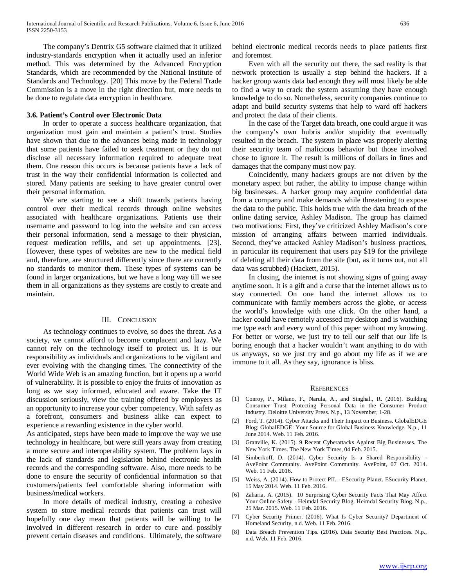The company's Dentrix G5 software claimed that it utilized industry-standards encryption when it actually used an inferior method. This was determined by the Advanced Encryption Standards, which are recommended by the National Institute of Standards and Technology. [20] This move by the Federal Trade Commission is a move in the right direction but, more needs to be done to regulate data encryption in healthcare.

#### **3.6. Patient's Control over Electronic Data**

 In order to operate a success healthcare organization, that organization must gain and maintain a patient's trust. Studies have shown that due to the advances being made in technology that some patients have failed to seek treatment or they do not disclose all necessary information required to adequate treat them. One reason this occurs is because patients have a lack of trust in the way their confidential information is collected and stored. Many patients are seeking to have greater control over their personal information.

 We are starting to see a shift towards patients having control over their medical records through online websites associated with healthcare organizations. Patients use their username and password to log into the website and can access their personal information, send a message to their physician, request medication refills, and set up appointments. [23]. However, these types of websites are new to the medical field and, therefore, are structured differently since there are currently no standards to monitor them. These types of systems can be found in larger organizations, but we have a long way till we see them in all organizations as they systems are costly to create and maintain.

### III. CONCLUSION

 As technology continues to evolve, so does the threat. As a society, we cannot afford to become complacent and lazy. We cannot rely on the technology itself to protect us. It is our responsibility as individuals and organizations to be vigilant and ever evolving with the changing times. The connectivity of the World Wide Web is an amazing function, but it opens up a world of vulnerability. It is possible to enjoy the fruits of innovation as long as we stay informed, educated and aware. Take the IT discussion seriously, view the training offered by employers as an opportunity to increase your cyber competency. With safety as a forefront, consumers and business alike can expect to experience a rewarding existence in the cyber world.

As anticipated, steps have been made to improve the way we use technology in healthcare, but were still years away from creating a more secure and interoperability system. The problem lays in the lack of standards and legislation behind electronic health records and the corresponding software. Also, more needs to be done to ensure the security of confidential information so that customers/patients feel comfortable sharing information with business/medical workers.

 In more details of medical industry, creating a cohesive system to store medical records that patients can trust will hopefully one day mean that patients will be willing to be involved in different research in order to cure and possibly prevent certain diseases and conditions. Ultimately, the software behind electronic medical records needs to place patients first and foremost.

 Even with all the security out there, the sad reality is that network protection is usually a step behind the hackers. If a hacker group wants data bad enough they will most likely be able to find a way to crack the system assuming they have enough knowledge to do so. Nonetheless, security companies continue to adapt and build security systems that help to ward off hackers and protect the data of their clients.

 In the case of the Target data breach, one could argue it was the company's own hubris and/or stupidity that eventually resulted in the breach. The system in place was properly alerting their security team of malicious behavior but those involved chose to ignore it. The result is millions of dollars in fines and damages that the company must now pay.

 Coincidently, many hackers groups are not driven by the monetary aspect but rather, the ability to impose change within big businesses. A hacker group may acquire confidential data from a company and make demands while threatening to expose the data to the public. This holds true with the data breach of the online dating service, Ashley Madison. The group has claimed two motivations: First, they've criticized Ashley Madison's core mission of arranging affairs between married individuals. Second, they've attacked Ashley Madison's business practices, in particular its requirement that users pay \$19 for the privilege of deleting all their data from the site (but, as it turns out, not all data was scrubbed) (Hackett, 2015).

 In closing, the internet is not showing signs of going away anytime soon. It is a gift and a curse that the internet allows us to stay connected. On one hand the internet allows us to communicate with family members across the globe, or access the world's knowledge with one click. On the other hand, a hacker could have remotely accessed my desktop and is watching me type each and every word of this paper without my knowing. For better or worse, we just try to tell our self that our life is boring enough that a hacker wouldn't want anything to do with us anyways, so we just try and go about my life as if we are immune to it all. As they say, ignorance is bliss.

#### **REFERENCES**

- [1] Conroy, P., Milano, F., Narula, A., and Singhal., R. (2016). Building Consumer Trust: Protecting Personal Data in the Consumer Product Industry. Deloitte University Press. N.p., 13 November, 1-28.
- [2] Ford, T. (2014). Cyber Attacks and Their Impact on Business. GlobalEDGE Blog: GlobalEDGE: Your Source for Global Business Knowledge. N.p., 11 June 2014. Web. 11 Feb. 2016.
- [3] Granville, K. (2015). 9 Recent Cyberattacks Against Big Businesses. The New York Times. The New York Times, 04 Feb. 2015.
- [4] Simberkoff, D. (2014). Cyber Security Is a Shared Responsibility AvePoint Community. AvePoint Community. AvePoint, 07 Oct. 2014. Web. 11 Feb. 2016.
- [5] Weiss, A. (2014). How to Protect PII. ESecurity Planet. ESucurity Planet, 15 May 2014. Web. 11 Feb. 2016.
- [6] Zaharia, A. (2015). 10 Surprising Cyber Security Facts That May Affect Your Online Safety - Heimdal Security Blog. Heimdal Security Blog. N.p., 25 Mar. 2015. Web. 11 Feb. 2016.
- [7] Cyber Security Primer. (2016). What Is Cyber Security? Department of Homeland Security, n.d. Web. 11 Feb. 2016.
- [8] Data Breach Prevention Tips. (2016). Data Security Best Practices. N.p., n.d. Web. 11 Feb. 2016.